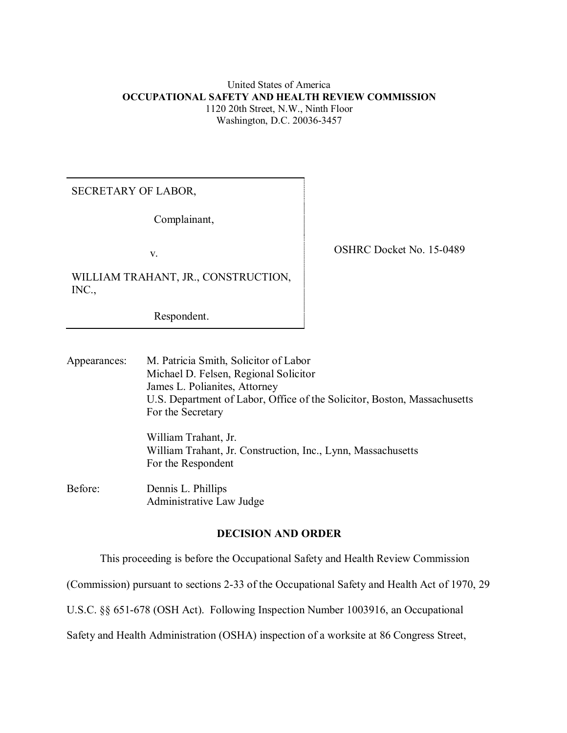### United States of America **OCCUPATIONAL SAFETY AND HEALTH REVIEW COMMISSION** 1120 20th Street, N.W., Ninth Floor Washington, D.C. 20036-3457

## SECRETARY OF LABOR,

Complainant,

WILLIAM TRAHANT, JR., CONSTRUCTION, INC.,

Respondent.

v. Solution of the COSHRC Docket No. 15-0489

Appearances: M. Patricia Smith, Solicitor of Labor Michael D. Felsen, Regional Solicitor James L. Polianites, Attorney U.S. Department of Labor, Office of the Solicitor, Boston, Massachusetts For the Secretary

> William Trahant, Jr. William Trahant, Jr. Construction, Inc., Lynn, Massachusetts For the Respondent

Before: Dennis L. Phillips Administrative Law Judge

## **DECISION AND ORDER**

This proceeding is before the Occupational Safety and Health Review Commission

(Commission) pursuant to sections 2-33 of the Occupational Safety and Health Act of 1970, 29

U.S.C. §§ 651-678 (OSH Act). Following Inspection Number 1003916, an Occupational

Safety and Health Administration (OSHA) inspection of a worksite at 86 Congress Street,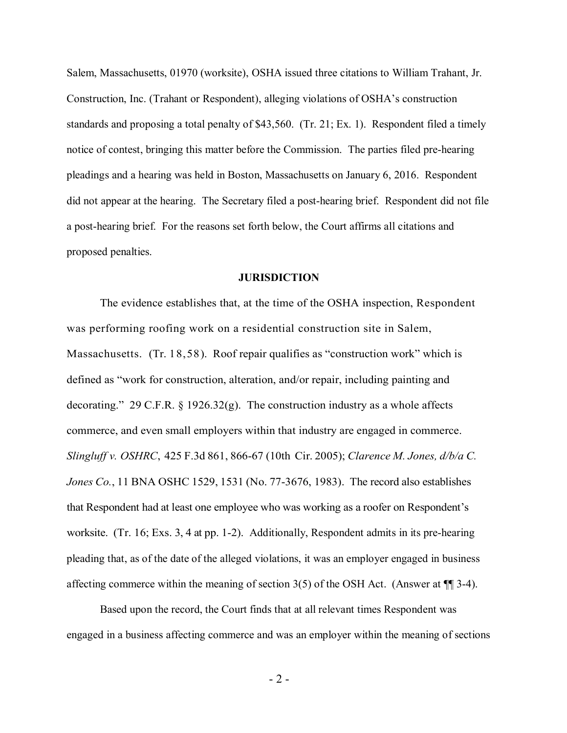Salem, Massachusetts, 01970 (worksite), OSHA issued three citations to William Trahant, Jr. Construction, Inc. (Trahant or Respondent), alleging violations of OSHA's construction standards and proposing a total penalty of \$43,560. (Tr. 21; Ex. 1). Respondent filed a timely notice of contest, bringing this matter before the Commission. The parties filed pre-hearing pleadings and a hearing was held in Boston, Massachusetts on January 6, 2016. Respondent did not appear at the hearing. The Secretary filed a post-hearing brief. Respondent did not file a post-hearing brief. For the reasons set forth below, the Court affirms all citations and proposed penalties.

#### **JURISDICTION**

The evidence establishes that, at the time of the OSHA inspection, Respondent was performing roofing work on a residential construction site in Salem, Massachusetts. (Tr. 18,58). Roof repair qualifies as "construction work" which is defined as "work for construction, alteration, and/or repair, including painting and decorating." 29 C.F.R.  $\S$  1926.32(g). The construction industry as a whole affects commerce, and even small employers within that industry are engaged in commerce. *Slingluff v. OSHRC*, 425 F.3d 861, 866-67 (10th Cir. 2005); *Clarence M. Jones, d/b/a C. Jones Co.*, 11 BNA OSHC 1529, 1531 (No. 77-3676, 1983). The record also establishes that Respondent had at least one employee who was working as a roofer on Respondent's worksite. (Tr. 16; Exs. 3, 4 at pp. 1-2). Additionally, Respondent admits in its pre-hearing pleading that, as of the date of the alleged violations, it was an employer engaged in business affecting commerce within the meaning of section  $3(5)$  of the OSH Act. (Answer at  $\P$  3-4).

Based upon the record, the Court finds that at all relevant times Respondent was engaged in a business affecting commerce and was an employer within the meaning of sections

- 2 -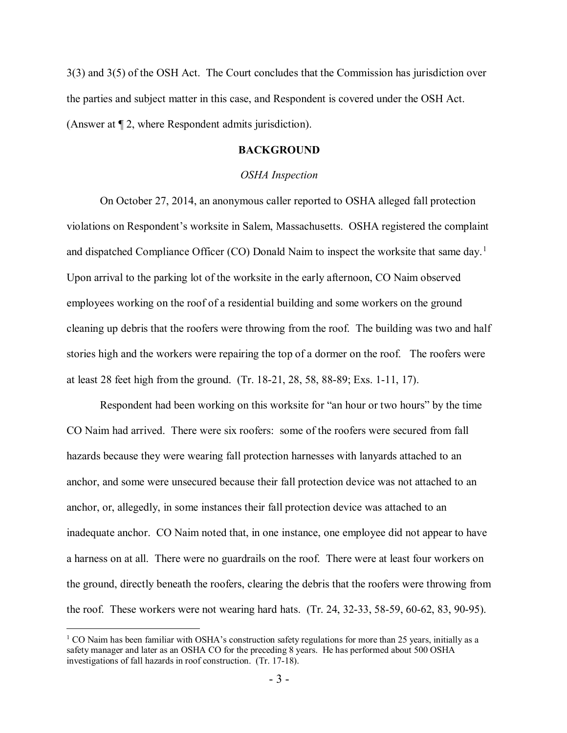3(3) and 3(5) of the OSH Act. The Court concludes that the Commission has jurisdiction over the parties and subject matter in this case, and Respondent is covered under the OSH Act. (Answer at ¶ 2, where Respondent admits jurisdiction).

### **BACKGROUND**

#### *OSHA Inspection*

On October 27, 2014, an anonymous caller reported to OSHA alleged fall protection violations on Respondent's worksite in Salem, Massachusetts. OSHA registered the complaint and dispatched Compliance Officer (CO) Donald Naim to inspect the worksite that same day.<sup>[1](#page-2-0)</sup> Upon arrival to the parking lot of the worksite in the early afternoon, CO Naim observed employees working on the roof of a residential building and some workers on the ground cleaning up debris that the roofers were throwing from the roof. The building was two and half stories high and the workers were repairing the top of a dormer on the roof. The roofers were at least 28 feet high from the ground. (Tr. 18-21, 28, 58, 88-89; Exs. 1-11, 17).

Respondent had been working on this worksite for "an hour or two hours" by the time CO Naim had arrived. There were six roofers: some of the roofers were secured from fall hazards because they were wearing fall protection harnesses with lanyards attached to an anchor, and some were unsecured because their fall protection device was not attached to an anchor, or, allegedly, in some instances their fall protection device was attached to an inadequate anchor. CO Naim noted that, in one instance, one employee did not appear to have a harness on at all. There were no guardrails on the roof. There were at least four workers on the ground, directly beneath the roofers, clearing the debris that the roofers were throwing from the roof. These workers were not wearing hard hats. (Tr. 24, 32-33, 58-59, 60-62, 83, 90-95).

<span id="page-2-0"></span> $1 \text{ CO}$  Naim has been familiar with OSHA's construction safety regulations for more than 25 years, initially as a safety manager and later as an OSHA CO for the preceding 8 years. He has performed about 500 OSHA investigations of fall hazards in roof construction. (Tr. 17-18).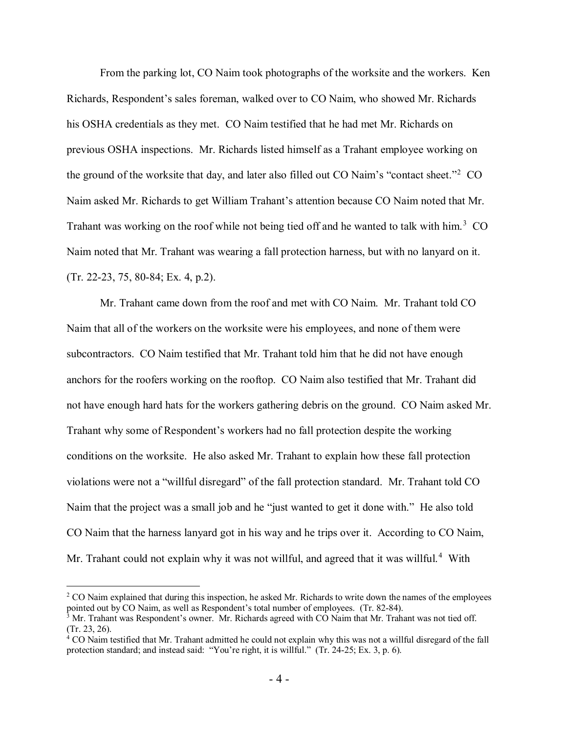From the parking lot, CO Naim took photographs of the worksite and the workers. Ken Richards, Respondent's sales foreman, walked over to CO Naim, who showed Mr. Richards his OSHA credentials as they met. CO Naim testified that he had met Mr. Richards on previous OSHA inspections. Mr. Richards listed himself as a Trahant employee working on the ground of the worksite that day, and later also filled out CO Naim's "contact sheet."<sup>[2](#page-3-0)</sup> CO Naim asked Mr. Richards to get William Trahant's attention because CO Naim noted that Mr. Trahant was working on the roof while not being tied off and he wanted to talk with him.<sup>[3](#page-3-1)</sup> CO Naim noted that Mr. Trahant was wearing a fall protection harness, but with no lanyard on it. (Tr. 22-23, 75, 80-84; Ex. 4, p.2).

Mr. Trahant came down from the roof and met with CO Naim. Mr. Trahant told CO Naim that all of the workers on the worksite were his employees, and none of them were subcontractors. CO Naim testified that Mr. Trahant told him that he did not have enough anchors for the roofers working on the rooftop. CO Naim also testified that Mr. Trahant did not have enough hard hats for the workers gathering debris on the ground. CO Naim asked Mr. Trahant why some of Respondent's workers had no fall protection despite the working conditions on the worksite. He also asked Mr. Trahant to explain how these fall protection violations were not a "willful disregard" of the fall protection standard. Mr. Trahant told CO Naim that the project was a small job and he "just wanted to get it done with." He also told CO Naim that the harness lanyard got in his way and he trips over it. According to CO Naim, Mr. Trahant could not explain why it was not willful, and agreed that it was willful.<sup>[4](#page-3-2)</sup> With

<span id="page-3-0"></span> $2$  CO Naim explained that during this inspection, he asked Mr. Richards to write down the names of the employees pointed out by CO Naim, as well as Respondent's total number of employees. (Tr. 82-84).

<span id="page-3-1"></span> $3$  Mr. Trahant was Respondent's owner. Mr. Richards agreed with CO Naim that Mr. Trahant was not tied off. (Tr. 23, 26).

<span id="page-3-2"></span> $4$  CO Naim testified that Mr. Trahant admitted he could not explain why this was not a willful disregard of the fall protection standard; and instead said: "You're right, it is willful." (Tr. 24-25; Ex. 3, p. 6).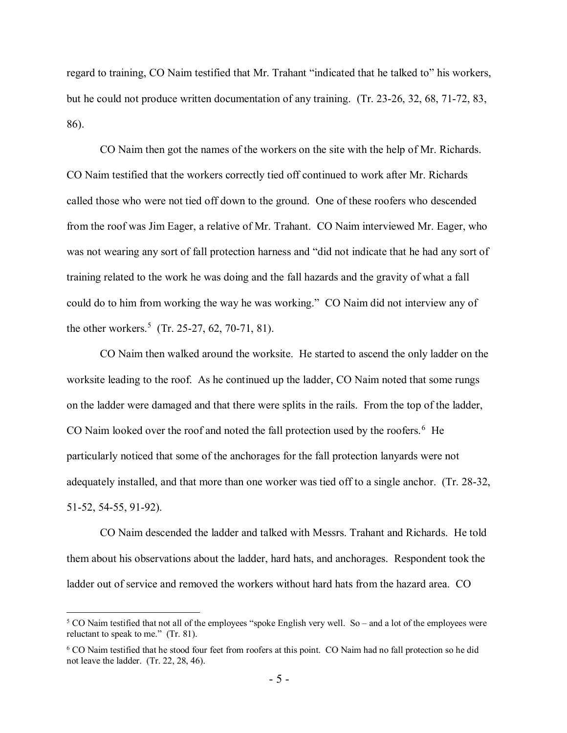regard to training, CO Naim testified that Mr. Trahant "indicated that he talked to" his workers, but he could not produce written documentation of any training. (Tr. 23-26, 32, 68, 71-72, 83, 86).

CO Naim then got the names of the workers on the site with the help of Mr. Richards. CO Naim testified that the workers correctly tied off continued to work after Mr. Richards called those who were not tied off down to the ground. One of these roofers who descended from the roof was Jim Eager, a relative of Mr. Trahant. CO Naim interviewed Mr. Eager, who was not wearing any sort of fall protection harness and "did not indicate that he had any sort of training related to the work he was doing and the fall hazards and the gravity of what a fall could do to him from working the way he was working." CO Naim did not interview any of the other workers. [5](#page-4-0) (Tr. 25-27, 62, 70-71, 81).

CO Naim then walked around the worksite. He started to ascend the only ladder on the worksite leading to the roof. As he continued up the ladder, CO Naim noted that some rungs on the ladder were damaged and that there were splits in the rails. From the top of the ladder, CO Naim looked over the roof and noted the fall protection used by the roofers.<sup>[6](#page-4-1)</sup> He particularly noticed that some of the anchorages for the fall protection lanyards were not adequately installed, and that more than one worker was tied off to a single anchor. (Tr. 28-32, 51-52, 54-55, 91-92).

CO Naim descended the ladder and talked with Messrs. Trahant and Richards. He told them about his observations about the ladder, hard hats, and anchorages. Respondent took the ladder out of service and removed the workers without hard hats from the hazard area. CO

<span id="page-4-0"></span><sup>&</sup>lt;sup>5</sup> CO Naim testified that not all of the employees "spoke English very well. So – and a lot of the employees were reluctant to speak to me." (Tr. 81).

<span id="page-4-1"></span><sup>6</sup> CO Naim testified that he stood four feet from roofers at this point. CO Naim had no fall protection so he did not leave the ladder. (Tr. 22, 28, 46).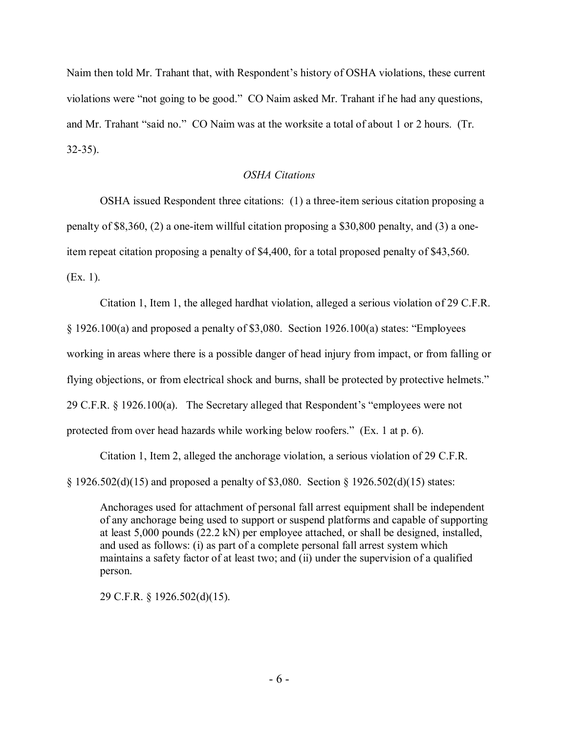Naim then told Mr. Trahant that, with Respondent's history of OSHA violations, these current violations were "not going to be good." CO Naim asked Mr. Trahant if he had any questions, and Mr. Trahant "said no." CO Naim was at the worksite a total of about 1 or 2 hours. (Tr. 32-35).

## *OSHA Citations*

OSHA issued Respondent three citations: (1) a three-item serious citation proposing a penalty of \$8,360, (2) a one-item willful citation proposing a \$30,800 penalty, and (3) a oneitem repeat citation proposing a penalty of \$4,400, for a total proposed penalty of \$43,560. (Ex. 1).

Citation 1, Item 1, the alleged hardhat violation, alleged a serious violation of 29 C.F.R. § 1926.100(a) and proposed a penalty of \$3,080. Section 1926.100(a) states: "Employees working in areas where there is a possible danger of head injury from impact, or from falling or flying objections, or from electrical shock and burns, shall be protected by protective helmets." 29 C.F.R. § 1926.100(a). The Secretary alleged that Respondent's "employees were not protected from over head hazards while working below roofers." (Ex. 1 at p. 6).

Citation 1, Item 2, alleged the anchorage violation, a serious violation of 29 C.F.R. § 1926.502(d)(15) and proposed a penalty of \$3,080. Section § 1926.502(d)(15) states:

Anchorages used for attachment of personal fall arrest equipment shall be independent of any anchorage being used to support or suspend platforms and capable of supporting at least 5,000 pounds (22.2 kN) per employee attached, or shall be designed, installed, and used as follows: (i) as part of a complete personal fall arrest system which maintains a safety factor of at least two; and (ii) under the supervision of a qualified person.

29 C.F.R. § 1926.502(d)(15).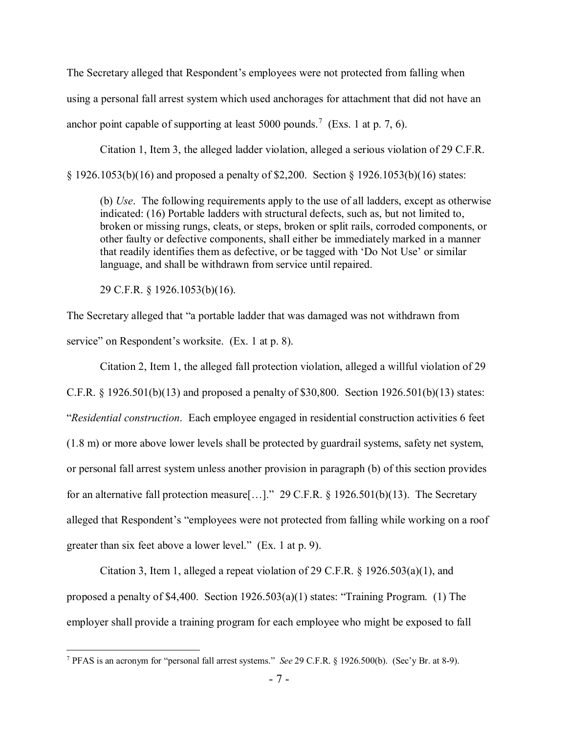The Secretary alleged that Respondent's employees were not protected from falling when using a personal fall arrest system which used anchorages for attachment that did not have an anchor point capable of supporting at least 5000 pounds.<sup>[7](#page-6-0)</sup> (Exs. 1 at p. 7, 6).

Citation 1, Item 3, the alleged ladder violation, alleged a serious violation of 29 C.F.R. § 1926.1053(b)(16) and proposed a penalty of \$2,200. Section § 1926.1053(b)(16) states:

(b) *Use*. The following requirements apply to the use of all ladders, except as otherwise indicated: (16) Portable ladders with structural defects, such as, but not limited to, broken or missing rungs, cleats, or steps, broken or split rails, corroded components, or other faulty or defective components, shall either be immediately marked in a manner that readily identifies them as defective, or be tagged with 'Do Not Use' or similar language, and shall be withdrawn from service until repaired.

29 C.F.R. § 1926.1053(b)(16).

 $\overline{a}$ 

The Secretary alleged that "a portable ladder that was damaged was not withdrawn from service" on Respondent's worksite. (Ex. 1 at p. 8).

Citation 2, Item 1, the alleged fall protection violation, alleged a willful violation of 29 C.F.R. § 1926.501(b)(13) and proposed a penalty of \$30,800. Section 1926.501(b)(13) states: "*Residential construction*. Each employee engaged in residential construction activities 6 feet (1.8 m) or more above lower levels shall be protected by guardrail systems, safety net system, or personal fall arrest system unless another provision in paragraph (b) of this section provides for an alternative fall protection measure[…]." 29 C.F.R. § 1926.501(b)(13). The Secretary alleged that Respondent's "employees were not protected from falling while working on a roof greater than six feet above a lower level." (Ex. 1 at p. 9).

Citation 3, Item 1, alleged a repeat violation of 29 C.F.R.  $\S$  1926.503(a)(1), and proposed a penalty of \$4,400. Section 1926.503(a)(1) states: "Training Program. (1) The employer shall provide a training program for each employee who might be exposed to fall

<span id="page-6-0"></span><sup>7</sup> PFAS is an acronym for "personal fall arrest systems." *See* 29 C.F.R. § 1926.500(b). (Sec'y Br. at 8-9).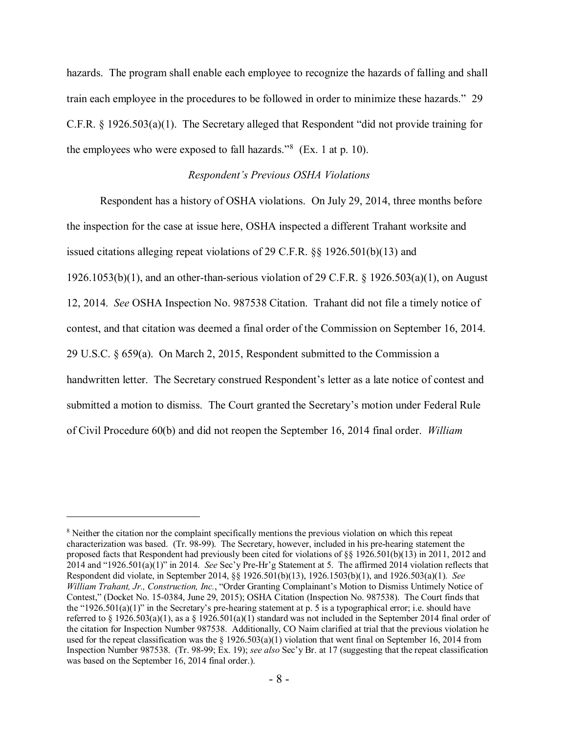hazards. The program shall enable each employee to recognize the hazards of falling and shall train each employee in the procedures to be followed in order to minimize these hazards." 29 C.F.R. § 1926.503(a)(1). The Secretary alleged that Respondent "did not provide training for the employees who were exposed to fall hazards." $8$  (Ex. 1 at p. 10).

#### *Respondent's Previous OSHA Violations*

Respondent has a history of OSHA violations. On July 29, 2014, three months before the inspection for the case at issue here, OSHA inspected a different Trahant worksite and issued citations alleging repeat violations of 29 C.F.R. §§ 1926.501(b)(13) and 1926.1053(b)(1), and an other-than-serious violation of 29 C.F.R. § 1926.503(a)(1), on August 12, 2014. *See* OSHA Inspection No. 987538 Citation. Trahant did not file a timely notice of contest, and that citation was deemed a final order of the Commission on September 16, 2014. 29 U.S.C. § 659(a). On March 2, 2015, Respondent submitted to the Commission a handwritten letter. The Secretary construed Respondent's letter as a late notice of contest and submitted a motion to dismiss. The Court granted the Secretary's motion under Federal Rule of Civil Procedure 60(b) and did not reopen the September 16, 2014 final order. *William* 

<span id="page-7-0"></span><sup>&</sup>lt;sup>8</sup> Neither the citation nor the complaint specifically mentions the previous violation on which this repeat characterization was based. (Tr. 98-99). The Secretary, however, included in his pre-hearing statement the proposed facts that Respondent had previously been cited for violations of §§ 1926.501(b)(13) in 2011, 2012 and 2014 and "1926.501(a)(1)" in 2014. *See* Sec'y Pre-Hr'g Statement at 5. The affirmed 2014 violation reflects that Respondent did violate, in September 2014, §§ 1926.501(b)(13), 1926.1503(b)(1), and 1926.503(a)(1). *See William Trahant, Jr., Construction, Inc.*, "Order Granting Complainant's Motion to Dismiss Untimely Notice of Contest," (Docket No. 15-0384, June 29, 2015); OSHA Citation (Inspection No. 987538). The Court finds that the "1926.501(a)(1)" in the Secretary's pre-hearing statement at p. 5 is a typographical error; i.e. should have referred to § 1926.503(a)(1), as a § 1926.501(a)(1) standard was not included in the September 2014 final order of the citation for Inspection Number 987538. Additionally, CO Naim clarified at trial that the previous violation he used for the repeat classification was the  $\S 1926.503(a)(1)$  violation that went final on September 16, 2014 from Inspection Number 987538. (Tr. 98-99; Ex. 19); *see also* Sec'y Br. at 17 (suggesting that the repeat classification was based on the September 16, 2014 final order.).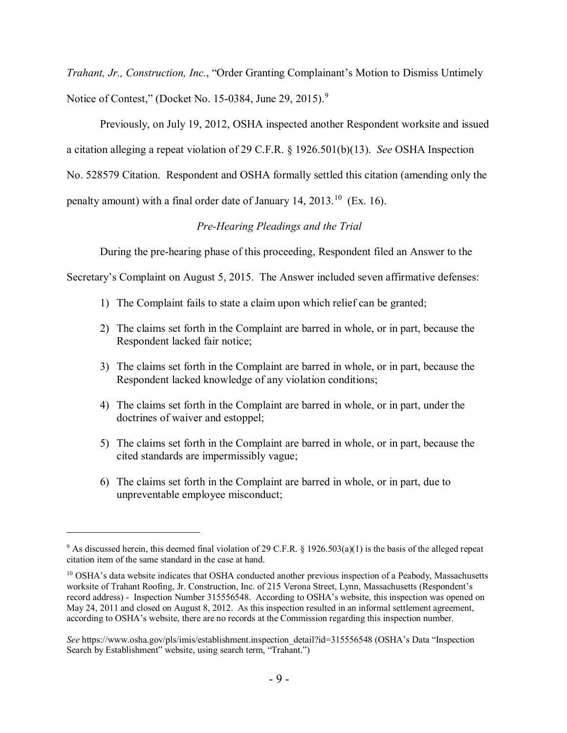*Trahant, Jr., Construction, Inc.*, "Order Granting Complainant's Motion to Dismiss Untimely Notice of Contest," (Docket No. 15-0384, June 2[9](#page-8-0), 2015).<sup>9</sup>

Previously, on July 19, 2012, OSHA inspected another Respondent worksite and issued a citation alleging a repeat violation of 29 C.F.R. § 1926.501(b)(13). *See* OSHA Inspection No. 528579 Citation. Respondent and OSHA formally settled this citation (amending only the penalty amount) with a final order date of January 14,  $2013$ <sup> $10$ </sup> (Ex. 16).

## *Pre-Hearing Pleadings and the Trial*

During the pre-hearing phase of this proceeding, Respondent filed an Answer to the

Secretary's Complaint on August 5, 2015. The Answer included seven affirmative defenses:

- 1) The Complaint fails to state a claim upon which relief can be granted;
- 2) The claims set forth in the Complaint are barred in whole, or in part, because the Respondent lacked fair notice;
- 3) The claims set forth in the Complaint are barred in whole, or in part, because the Respondent lacked knowledge of any violation conditions;
- 4) The claims set forth in the Complaint are barred in whole, or in part, under the doctrines of waiver and estoppel;
- 5) The claims set forth in the Complaint are barred in whole, or in part, because the cited standards are impermissibly vague;
- 6) The claims set forth in the Complaint are barred in whole, or in part, due to unpreventable employee misconduct;

<span id="page-8-0"></span><sup>9</sup> As discussed herein, this deemed final violation of 29 C.F.R. § 1926.503(a)(1) is the basis of the alleged repeat citation item of the same standard in the case at hand.

<span id="page-8-1"></span><sup>&</sup>lt;sup>10</sup> OSHA's data website indicates that OSHA conducted another previous inspection of a Peabody, Massachusetts worksite of Trahant Roofing, Jr. Construction, Inc. of 215 Verona Street, Lynn, Massachusetts (Respondent's record address) - Inspection Number 315556548. According to OSHA's website, this inspection was opened on May 24, 2011 and closed on August 8, 2012. As this inspection resulted in an informal settlement agreement, according to OSHA's website, there are no records at the Commission regarding this inspection number.

*See* https://www.osha.gov/pls/imis/establishment.inspection\_detail?id=315556548 (OSHA's Data "Inspection Search by Establishment" website, using search term, "Trahant.")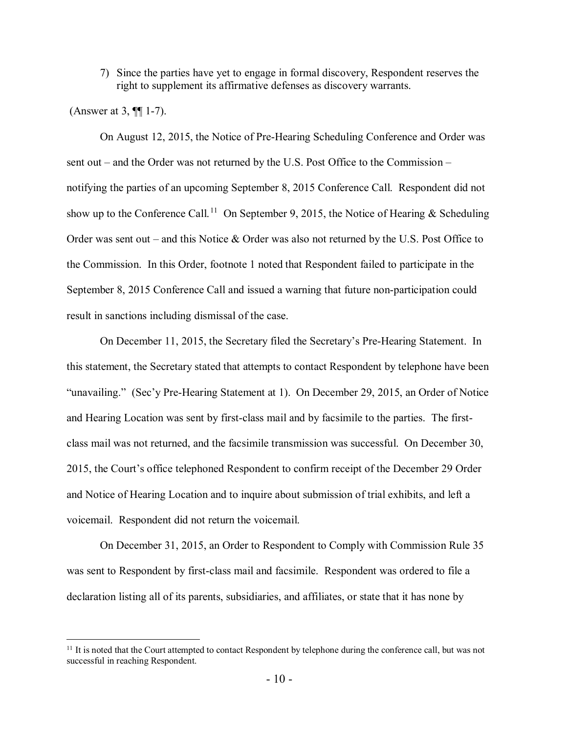7) Since the parties have yet to engage in formal discovery, Respondent reserves the right to supplement its affirmative defenses as discovery warrants.

(Answer at 3, ¶¶ 1-7).

 $\overline{a}$ 

On August 12, 2015, the Notice of Pre-Hearing Scheduling Conference and Order was sent out – and the Order was not returned by the U.S. Post Office to the Commission – notifying the parties of an upcoming September 8, 2015 Conference Call. Respondent did not show up to the Conference Call.<sup>[11](#page-9-0)</sup> On September 9, 2015, the Notice of Hearing & Scheduling Order was sent out – and this Notice & Order was also not returned by the U.S. Post Office to the Commission. In this Order, footnote 1 noted that Respondent failed to participate in the September 8, 2015 Conference Call and issued a warning that future non-participation could result in sanctions including dismissal of the case.

On December 11, 2015, the Secretary filed the Secretary's Pre-Hearing Statement. In this statement, the Secretary stated that attempts to contact Respondent by telephone have been "unavailing." (Sec'y Pre-Hearing Statement at 1). On December 29, 2015, an Order of Notice and Hearing Location was sent by first-class mail and by facsimile to the parties. The firstclass mail was not returned, and the facsimile transmission was successful. On December 30, 2015, the Court's office telephoned Respondent to confirm receipt of the December 29 Order and Notice of Hearing Location and to inquire about submission of trial exhibits, and left a voicemail. Respondent did not return the voicemail.

On December 31, 2015, an Order to Respondent to Comply with Commission Rule 35 was sent to Respondent by first-class mail and facsimile. Respondent was ordered to file a declaration listing all of its parents, subsidiaries, and affiliates, or state that it has none by

<span id="page-9-0"></span> $11$  It is noted that the Court attempted to contact Respondent by telephone during the conference call, but was not successful in reaching Respondent.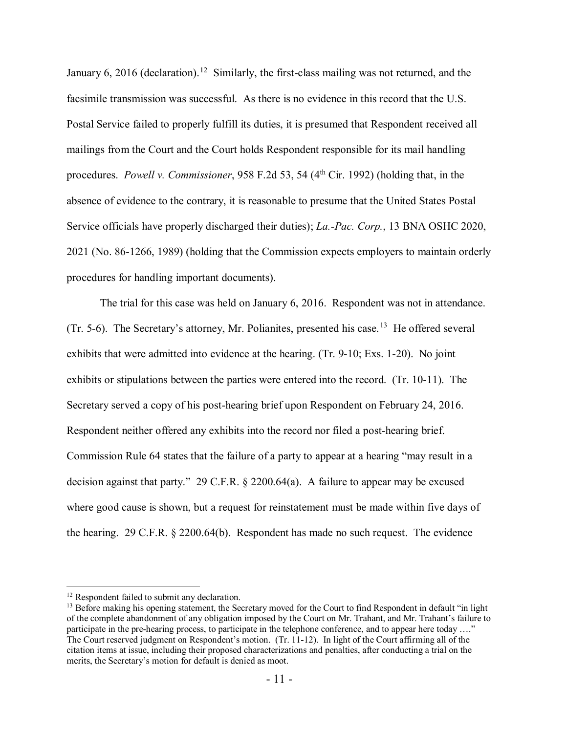January 6, 2016 (declaration).<sup>[12](#page-10-0)</sup> Similarly, the first-class mailing was not returned, and the facsimile transmission was successful. As there is no evidence in this record that the U.S. Postal Service failed to properly fulfill its duties, it is presumed that Respondent received all mailings from the Court and the Court holds Respondent responsible for its mail handling procedures. *Powell v. Commissioner*, 958 F.2d 53, 54 (4<sup>th</sup> Cir. 1992) (holding that, in the absence of evidence to the contrary, it is reasonable to presume that the United States Postal Service officials have properly discharged their duties); *La.-Pac. Corp.*, 13 BNA OSHC 2020, 2021 (No. 86-1266, 1989) (holding that the Commission expects employers to maintain orderly procedures for handling important documents).

The trial for this case was held on January 6, 2016. Respondent was not in attendance. (Tr. 5-6). The Secretary's attorney, Mr. Polianites, presented his case.<sup>13</sup> He offered several exhibits that were admitted into evidence at the hearing. (Tr. 9-10; Exs. 1-20). No joint exhibits or stipulations between the parties were entered into the record. (Tr. 10-11). The Secretary served a copy of his post-hearing brief upon Respondent on February 24, 2016. Respondent neither offered any exhibits into the record nor filed a post-hearing brief. Commission Rule 64 states that the failure of a party to appear at a hearing "may result in a decision against that party." 29 C.F.R. § 2200.64(a). A failure to appear may be excused where good cause is shown, but a request for reinstatement must be made within five days of the hearing. 29 C.F.R. § 2200.64(b). Respondent has made no such request. The evidence

<span id="page-10-0"></span><sup>&</sup>lt;sup>12</sup> Respondent failed to submit any declaration.

<span id="page-10-1"></span><sup>&</sup>lt;sup>13</sup> Before making his opening statement, the Secretary moved for the Court to find Respondent in default "in light of the complete abandonment of any obligation imposed by the Court on Mr. Trahant, and Mr. Trahant's failure to participate in the pre-hearing process, to participate in the telephone conference, and to appear here today …." The Court reserved judgment on Respondent's motion. (Tr. 11-12). In light of the Court affirming all of the citation items at issue, including their proposed characterizations and penalties, after conducting a trial on the merits, the Secretary's motion for default is denied as moot.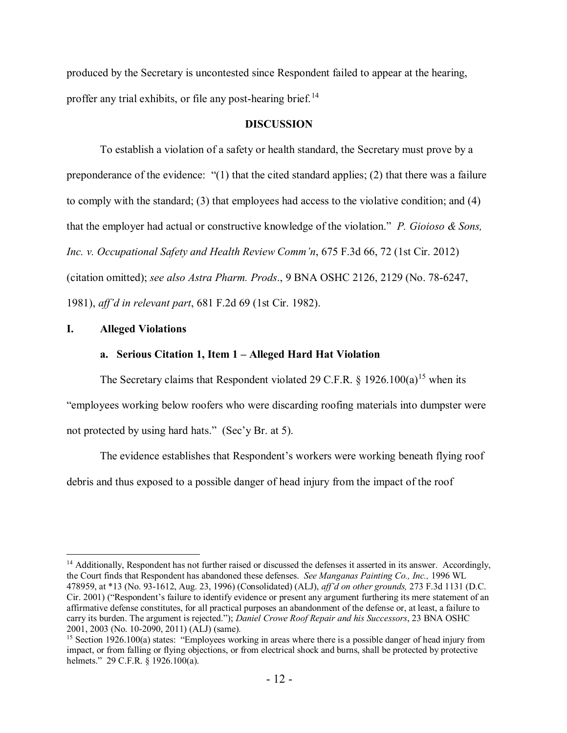produced by the Secretary is uncontested since Respondent failed to appear at the hearing, proffer any trial exhibits, or file any post-hearing brief.<sup>[14](#page-11-0)</sup>

#### **DISCUSSION**

To establish a violation of a safety or health standard, the Secretary must prove by a preponderance of the evidence: "(1) that the cited standard applies; (2) that there was a failure to comply with the standard; (3) that employees had access to the violative condition; and (4) that the employer had actual or constructive knowledge of the violation." *P. Gioioso & Sons, Inc. v. Occupational Safety and Health Review Comm'n*, 675 F.3d 66, 72 (1st Cir. 2012) (citation omitted); *see also Astra Pharm. Prods*., 9 BNA OSHC 2126, 2129 (No. 78-6247, 1981), *aff'd in relevant part*, 681 F.2d 69 (1st Cir. 1982).

#### **I. Alleged Violations**

 $\overline{a}$ 

#### **a. Serious Citation 1, Item 1 – Alleged Hard Hat Violation**

The Secretary claims that Respondent violated 29 C.F.R.  $\S$  1926.100(a)<sup>[15](#page-11-1)</sup> when its "employees working below roofers who were discarding roofing materials into dumpster were not protected by using hard hats." (Sec'y Br. at 5).

The evidence establishes that Respondent's workers were working beneath flying roof debris and thus exposed to a possible danger of head injury from the impact of the roof

<span id="page-11-0"></span><sup>&</sup>lt;sup>14</sup> Additionally, Respondent has not further raised or discussed the defenses it asserted in its answer. Accordingly, the Court finds that Respondent has abandoned these defenses. *See Manganas Painting Co., Inc.,* 1996 WL 478959, at \*13 (No. 93-1612, Aug. 23, 1996) (Consolidated) (ALJ), *aff'd on other grounds,* 273 F.3d 1131 (D.C. Cir. 2001) ("Respondent's failure to identify evidence or present any argument furthering its mere statement of an affirmative defense constitutes, for all practical purposes an abandonment of the defense or, at least, a failure to carry its burden. The argument is rejected."); *Daniel Crowe Roof Repair and his Successors*, 23 BNA OSHC 2001, 2003 (No. 10-2090, 2011) (ALJ) (same).

<span id="page-11-1"></span><sup>&</sup>lt;sup>15</sup> Section 1926.100(a) states: "Employees working in areas where there is a possible danger of head injury from impact, or from falling or flying objections, or from electrical shock and burns, shall be protected by protective helmets." 29 C.F.R. § 1926.100(a).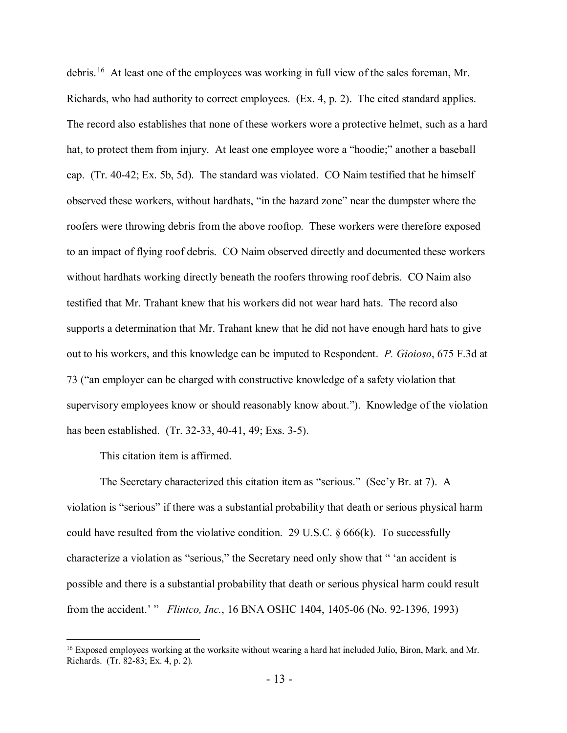debris.[16](#page-12-0) At least one of the employees was working in full view of the sales foreman, Mr. Richards, who had authority to correct employees. (Ex. 4, p. 2). The cited standard applies. The record also establishes that none of these workers wore a protective helmet, such as a hard hat, to protect them from injury. At least one employee wore a "hoodie;" another a baseball cap. (Tr. 40-42; Ex. 5b, 5d). The standard was violated. CO Naim testified that he himself observed these workers, without hardhats, "in the hazard zone" near the dumpster where the roofers were throwing debris from the above rooftop. These workers were therefore exposed to an impact of flying roof debris. CO Naim observed directly and documented these workers without hardhats working directly beneath the roofers throwing roof debris. CO Naim also testified that Mr. Trahant knew that his workers did not wear hard hats. The record also supports a determination that Mr. Trahant knew that he did not have enough hard hats to give out to his workers, and this knowledge can be imputed to Respondent. *P. Gioioso*, 675 F.3d at 73 ("an employer can be charged with constructive knowledge of a safety violation that supervisory employees know or should reasonably know about."). Knowledge of the violation has been established. (Tr. 32-33, 40-41, 49; Exs. 3-5).

This citation item is affirmed.

 $\overline{a}$ 

The Secretary characterized this citation item as "serious." (Sec'y Br. at 7). A violation is "serious" if there was a substantial probability that death or serious physical harm could have resulted from the violative condition. 29 U.S.C.  $\S 666(k)$ . To successfully characterize a violation as "serious," the Secretary need only show that " 'an accident is possible and there is a substantial probability that death or serious physical harm could result from the accident.' " *Flintco, Inc.*, 16 BNA OSHC 1404, 1405-06 (No. 92-1396, 1993)

<span id="page-12-0"></span><sup>&</sup>lt;sup>16</sup> Exposed employees working at the worksite without wearing a hard hat included Julio, Biron, Mark, and Mr. Richards. (Tr. 82-83; Ex. 4, p. 2).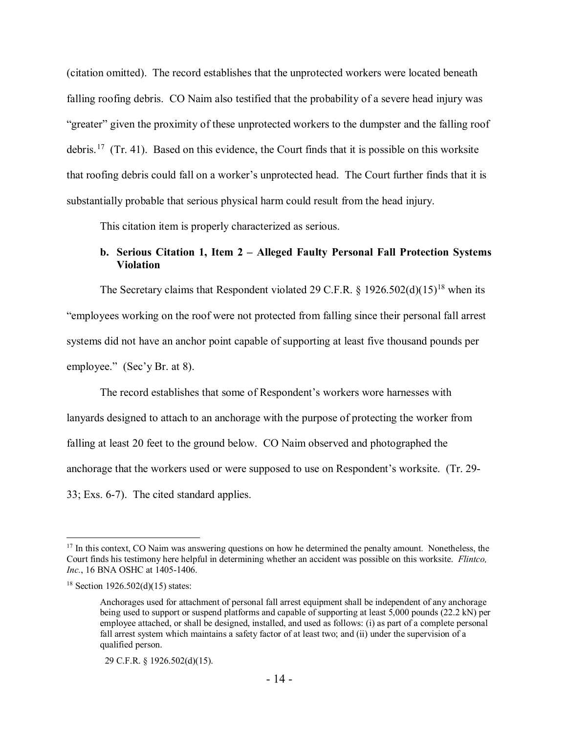(citation omitted). The record establishes that the unprotected workers were located beneath falling roofing debris. CO Naim also testified that the probability of a severe head injury was "greater" given the proximity of these unprotected workers to the dumpster and the falling roof debris.<sup>[17](#page-13-0)</sup> (Tr. 41). Based on this evidence, the Court finds that it is possible on this worksite that roofing debris could fall on a worker's unprotected head. The Court further finds that it is substantially probable that serious physical harm could result from the head injury.

This citation item is properly characterized as serious.

## **b. Serious Citation 1, Item 2 – Alleged Faulty Personal Fall Protection Systems Violation**

The Secretary claims that Respondent violated 29 C.F.R. § 1926.502(d)(15)<sup>[18](#page-13-1)</sup> when its "employees working on the roof were not protected from falling since their personal fall arrest systems did not have an anchor point capable of supporting at least five thousand pounds per employee." (Sec'y Br. at 8).

The record establishes that some of Respondent's workers wore harnesses with lanyards designed to attach to an anchorage with the purpose of protecting the worker from falling at least 20 feet to the ground below. CO Naim observed and photographed the anchorage that the workers used or were supposed to use on Respondent's worksite. (Tr. 29- 33; Exs. 6-7). The cited standard applies.

<span id="page-13-0"></span><sup>&</sup>lt;sup>17</sup> In this context, CO Naim was answering questions on how he determined the penalty amount. Nonetheless, the Court finds his testimony here helpful in determining whether an accident was possible on this worksite. *Flintco, Inc.*, 16 BNA OSHC at 1405-1406.

<span id="page-13-1"></span> $18$  Section 1926.502(d)(15) states:

Anchorages used for attachment of personal fall arrest equipment shall be independent of any anchorage being used to support or suspend platforms and capable of supporting at least 5,000 pounds (22.2 kN) per employee attached, or shall be designed, installed, and used as follows: (i) as part of a complete personal fall arrest system which maintains a safety factor of at least two; and (ii) under the supervision of a qualified person.

 <sup>29</sup> C.F.R. § 1926.502(d)(15).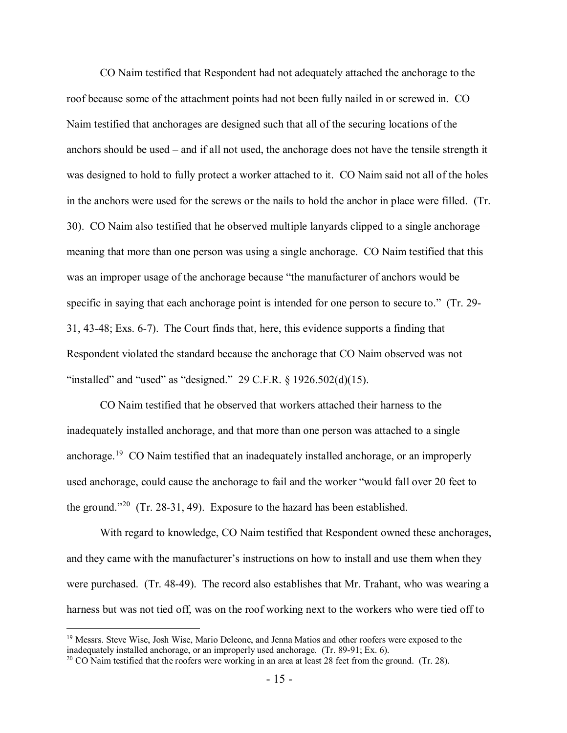CO Naim testified that Respondent had not adequately attached the anchorage to the roof because some of the attachment points had not been fully nailed in or screwed in. CO Naim testified that anchorages are designed such that all of the securing locations of the anchors should be used – and if all not used, the anchorage does not have the tensile strength it was designed to hold to fully protect a worker attached to it. CO Naim said not all of the holes in the anchors were used for the screws or the nails to hold the anchor in place were filled. (Tr. 30). CO Naim also testified that he observed multiple lanyards clipped to a single anchorage – meaning that more than one person was using a single anchorage. CO Naim testified that this was an improper usage of the anchorage because "the manufacturer of anchors would be specific in saying that each anchorage point is intended for one person to secure to." (Tr. 29- 31, 43-48; Exs. 6-7). The Court finds that, here, this evidence supports a finding that Respondent violated the standard because the anchorage that CO Naim observed was not "installed" and "used" as "designed."  $29 \text{ C.F.R.}$  §  $1926.502(d)(15)$ .

CO Naim testified that he observed that workers attached their harness to the inadequately installed anchorage, and that more than one person was attached to a single anchorage.<sup>19</sup> CO Naim testified that an inadequately installed anchorage, or an improperly used anchorage, could cause the anchorage to fail and the worker "would fall over 20 feet to the ground."<sup>20</sup> (Tr. 28-31, 49). Exposure to the hazard has been established.

With regard to knowledge, CO Naim testified that Respondent owned these anchorages, and they came with the manufacturer's instructions on how to install and use them when they were purchased. (Tr. 48-49). The record also establishes that Mr. Trahant, who was wearing a harness but was not tied off, was on the roof working next to the workers who were tied off to

<span id="page-14-0"></span><sup>&</sup>lt;sup>19</sup> Messrs. Steve Wise, Josh Wise, Mario Deleone, and Jenna Matios and other roofers were exposed to the inadequately installed anchorage, or an improperly used anchorage. (Tr. 89-91; Ex. 6).

<span id="page-14-1"></span><sup>&</sup>lt;sup>20</sup> CO Naim testified that the roofers were working in an area at least 28 feet from the ground. (Tr. 28).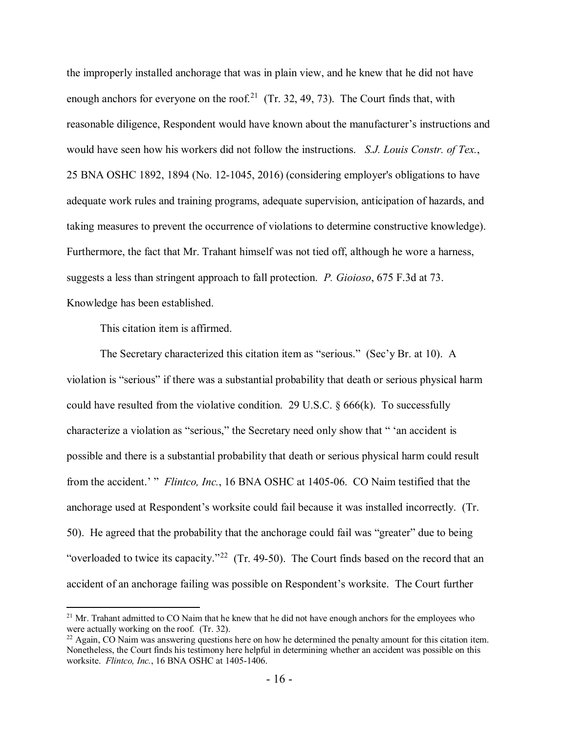the improperly installed anchorage that was in plain view, and he knew that he did not have enough anchors for everyone on the roof.<sup>21</sup> (Tr. 32, 49, 73). The Court finds that, with reasonable diligence, Respondent would have known about the manufacturer's instructions and would have seen how his workers did not follow the instructions. *S.J. Louis Constr. of Tex.*, 25 BNA OSHC 1892, 1894 (No. 12-1045, 2016) (considering employer's obligations to have adequate work rules and training programs, adequate supervision, anticipation of hazards, and taking measures to prevent the occurrence of violations to determine constructive knowledge). Furthermore, the fact that Mr. Trahant himself was not tied off, although he wore a harness, suggests a less than stringent approach to fall protection. *P. Gioioso*, 675 F.3d at 73. Knowledge has been established.

This citation item is affirmed.

 $\overline{a}$ 

The Secretary characterized this citation item as "serious." (Sec'y Br. at 10). A violation is "serious" if there was a substantial probability that death or serious physical harm could have resulted from the violative condition. 29 U.S.C.  $\frac{666}{k}$ . To successfully characterize a violation as "serious," the Secretary need only show that " 'an accident is possible and there is a substantial probability that death or serious physical harm could result from the accident.' " *Flintco, Inc.*, 16 BNA OSHC at 1405-06. CO Naim testified that the anchorage used at Respondent's worksite could fail because it was installed incorrectly. (Tr. 50). He agreed that the probability that the anchorage could fail was "greater" due to being "overloaded to twice its capacity."<sup>[22](#page-15-1)</sup> (Tr. 49-50). The Court finds based on the record that an accident of an anchorage failing was possible on Respondent's worksite. The Court further

<span id="page-15-0"></span> $21$  Mr. Trahant admitted to CO Naim that he knew that he did not have enough anchors for the employees who were actually working on the roof. (Tr. 32).

<span id="page-15-1"></span> $^{22}$  Again, CO Naim was answering questions here on how he determined the penalty amount for this citation item. Nonetheless, the Court finds his testimony here helpful in determining whether an accident was possible on this worksite. *Flintco, Inc.*, 16 BNA OSHC at 1405-1406.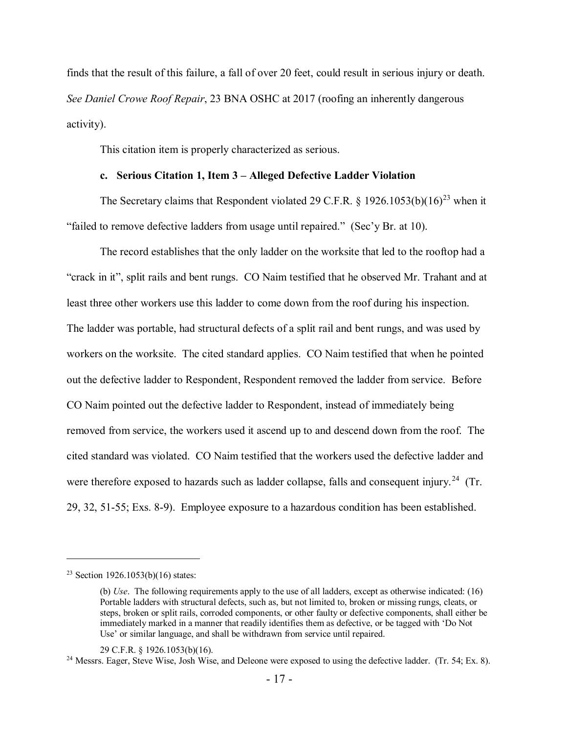finds that the result of this failure, a fall of over 20 feet, could result in serious injury or death. *See Daniel Crowe Roof Repair*, 23 BNA OSHC at 2017 (roofing an inherently dangerous activity).

This citation item is properly characterized as serious.

### **c. Serious Citation 1, Item 3 – Alleged Defective Ladder Violation**

The Secretary claims that Respondent violated 29 C.F.R. § 1926.1053(b)(16)<sup>[23](#page-16-0)</sup> when it "failed to remove defective ladders from usage until repaired." (Sec'y Br. at 10).

The record establishes that the only ladder on the worksite that led to the rooftop had a "crack in it", split rails and bent rungs. CO Naim testified that he observed Mr. Trahant and at least three other workers use this ladder to come down from the roof during his inspection. The ladder was portable, had structural defects of a split rail and bent rungs, and was used by workers on the worksite. The cited standard applies. CO Naim testified that when he pointed out the defective ladder to Respondent, Respondent removed the ladder from service. Before CO Naim pointed out the defective ladder to Respondent, instead of immediately being removed from service, the workers used it ascend up to and descend down from the roof. The cited standard was violated. CO Naim testified that the workers used the defective ladder and were therefore exposed to hazards such as ladder collapse, falls and consequent injury.<sup>[24](#page-16-1)</sup> (Tr. 29, 32, 51-55; Exs. 8-9). Employee exposure to a hazardous condition has been established.

<span id="page-16-0"></span><sup>&</sup>lt;sup>23</sup> Section 1926.1053(b)(16) states:

<sup>(</sup>b) *Use*. The following requirements apply to the use of all ladders, except as otherwise indicated: (16) Portable ladders with structural defects, such as, but not limited to, broken or missing rungs, cleats, or steps, broken or split rails, corroded components, or other faulty or defective components, shall either be immediately marked in a manner that readily identifies them as defective, or be tagged with 'Do Not Use' or similar language, and shall be withdrawn from service until repaired.

<span id="page-16-1"></span><sup>29</sup> C.F.R. § 1926.1053(b)(16).<br><sup>24</sup> Messrs. Eager, Steve Wise, Josh Wise, and Deleone were exposed to using the defective ladder. (Tr. 54; Ex. 8).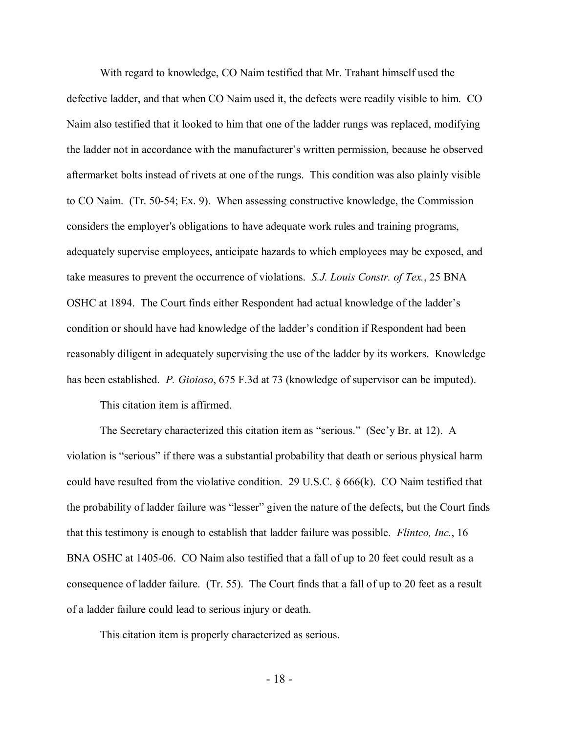With regard to knowledge, CO Naim testified that Mr. Trahant himself used the defective ladder, and that when CO Naim used it, the defects were readily visible to him. CO Naim also testified that it looked to him that one of the ladder rungs was replaced, modifying the ladder not in accordance with the manufacturer's written permission, because he observed aftermarket bolts instead of rivets at one of the rungs. This condition was also plainly visible to CO Naim. (Tr. 50-54; Ex. 9). When assessing constructive knowledge, the Commission considers the employer's obligations to have adequate work rules and training programs, adequately supervise employees, anticipate hazards to which employees may be exposed, and take measures to prevent the occurrence of violations. *S.J. Louis Constr. of Tex.*, 25 BNA OSHC at 1894. The Court finds either Respondent had actual knowledge of the ladder's condition or should have had knowledge of the ladder's condition if Respondent had been reasonably diligent in adequately supervising the use of the ladder by its workers. Knowledge has been established. *P. Gioioso*, 675 F.3d at 73 (knowledge of supervisor can be imputed).

This citation item is affirmed.

The Secretary characterized this citation item as "serious." (Sec'y Br. at 12). A violation is "serious" if there was a substantial probability that death or serious physical harm could have resulted from the violative condition. 29 U.S.C.  $\S 666(k)$ . CO Naim testified that the probability of ladder failure was "lesser" given the nature of the defects, but the Court finds that this testimony is enough to establish that ladder failure was possible. *Flintco, Inc.*, 16 BNA OSHC at 1405-06. CO Naim also testified that a fall of up to 20 feet could result as a consequence of ladder failure. (Tr. 55). The Court finds that a fall of up to 20 feet as a result of a ladder failure could lead to serious injury or death.

This citation item is properly characterized as serious.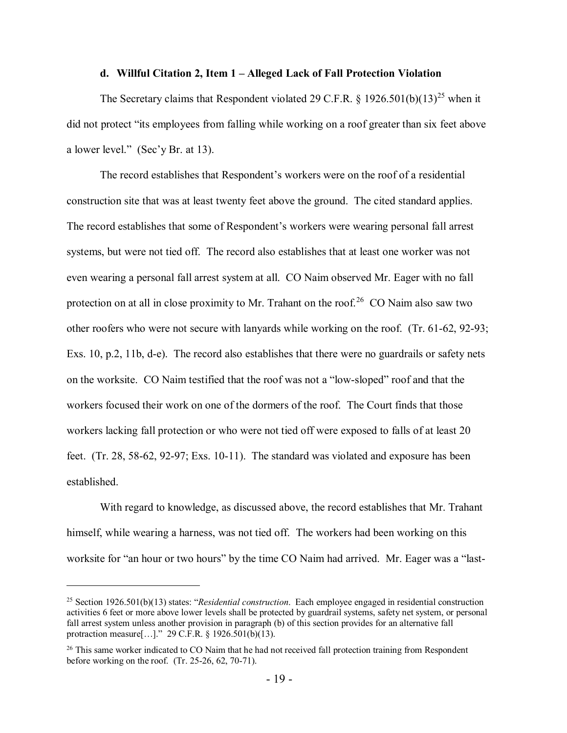#### **d. Willful Citation 2, Item 1 – Alleged Lack of Fall Protection Violation**

The Secretary claims that Respondent violated 29 C.F.R. § 1926.501(b)(13)<sup>[25](#page-18-0)</sup> when it did not protect "its employees from falling while working on a roof greater than six feet above a lower level." (Sec'y Br. at 13).

The record establishes that Respondent's workers were on the roof of a residential construction site that was at least twenty feet above the ground. The cited standard applies. The record establishes that some of Respondent's workers were wearing personal fall arrest systems, but were not tied off. The record also establishes that at least one worker was not even wearing a personal fall arrest system at all. CO Naim observed Mr. Eager with no fall protection on at all in close proximity to Mr. Trahant on the roof.<sup>[26](#page-18-1)</sup> CO Naim also saw two other roofers who were not secure with lanyards while working on the roof. (Tr. 61-62, 92-93; Exs. 10, p.2, 11b, d-e). The record also establishes that there were no guardrails or safety nets on the worksite. CO Naim testified that the roof was not a "low-sloped" roof and that the workers focused their work on one of the dormers of the roof. The Court finds that those workers lacking fall protection or who were not tied off were exposed to falls of at least 20 feet. (Tr. 28, 58-62, 92-97; Exs. 10-11). The standard was violated and exposure has been established.

With regard to knowledge, as discussed above, the record establishes that Mr. Trahant himself, while wearing a harness, was not tied off. The workers had been working on this worksite for "an hour or two hours" by the time CO Naim had arrived. Mr. Eager was a "last-

<span id="page-18-0"></span><sup>25</sup> Section 1926.501(b)(13) states: "*Residential construction*. Each employee engaged in residential construction activities 6 feet or more above lower levels shall be protected by guardrail systems, safety net system, or personal fall arrest system unless another provision in paragraph (b) of this section provides for an alternative fall protraction measure[…]." 29 C.F.R. § 1926.501(b)(13).

<span id="page-18-1"></span><sup>&</sup>lt;sup>26</sup> This same worker indicated to CO Naim that he had not received fall protection training from Respondent before working on the roof. (Tr. 25-26, 62, 70-71).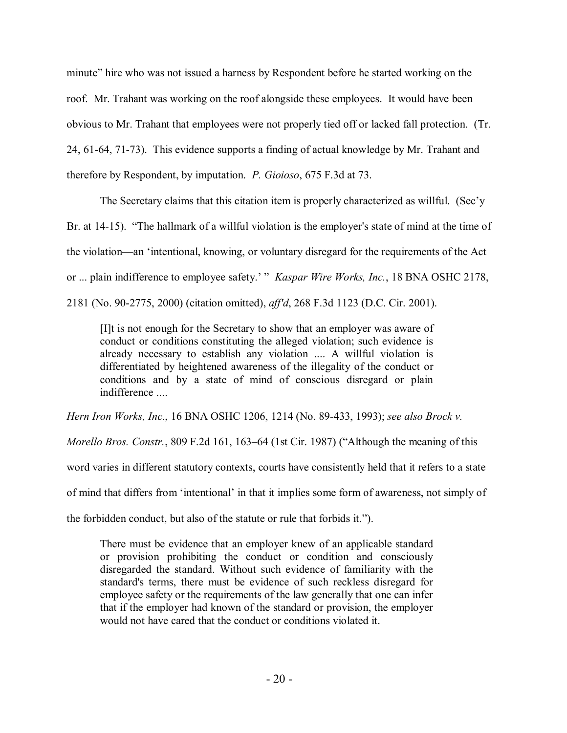minute" hire who was not issued a harness by Respondent before he started working on the roof. Mr. Trahant was working on the roof alongside these employees. It would have been obvious to Mr. Trahant that employees were not properly tied off or lacked fall protection. (Tr. 24, 61-64, 71-73). This evidence supports a finding of actual knowledge by Mr. Trahant and therefore by Respondent, by imputation. *P. Gioioso*, 675 F.3d at 73.

The Secretary claims that this citation item is properly characterized as willful. (Sec'y Br. at 14-15). "The hallmark of a willful violation is the employer's state of mind at the time of the violation—an 'intentional, knowing, or voluntary disregard for the requirements of the Act or ... plain indifference to employee safety.' " *Kaspar Wire Works, Inc.*, 18 BNA OSHC 2178, 2181 (No. 90-2775, 2000) (citation omitted), *aff'd*, 268 F.3d 1123 (D.C. Cir. 2001).

[I]t is not enough for the Secretary to show that an employer was aware of conduct or conditions constituting the alleged violation; such evidence is already necessary to establish any violation .... A willful violation is differentiated by heightened awareness of the illegality of the conduct or conditions and by a state of mind of conscious disregard or plain indifference ....

*Hern Iron Works, Inc.*, 16 BNA OSHC 1206, 1214 (No. 89-433, 1993); *see also Brock v.* 

*Morello Bros. Constr.*, 809 F.2d 161, 163–64 (1st Cir. 1987) ("Although the meaning of this

word varies in different statutory contexts, courts have consistently held that it refers to a state

of mind that differs from 'intentional' in that it implies some form of awareness, not simply of

the forbidden conduct, but also of the statute or rule that forbids it.").

There must be evidence that an employer knew of an applicable standard or provision prohibiting the conduct or condition and consciously disregarded the standard. Without such evidence of familiarity with the standard's terms, there must be evidence of such reckless disregard for employee safety or the requirements of the law generally that one can infer that if the employer had known of the standard or provision, the employer would not have cared that the conduct or conditions violated it.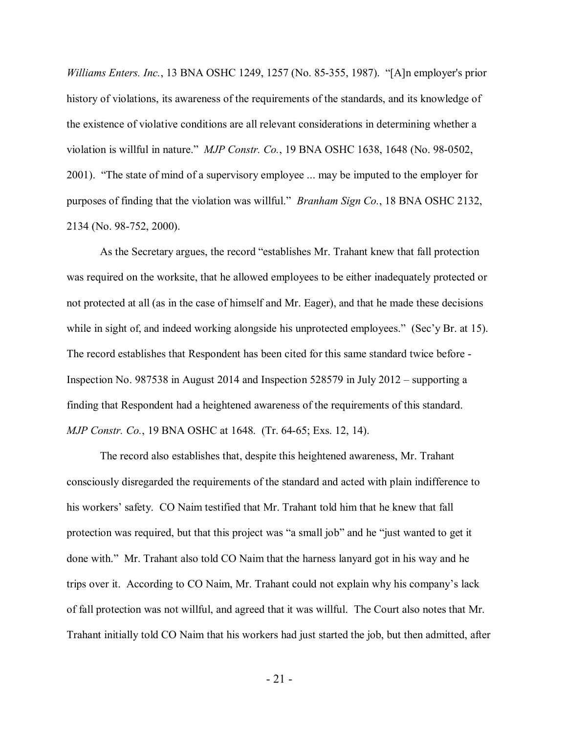*Williams Enters. Inc.*, 13 BNA OSHC 1249, 1257 (No. 85-355, 1987). "[A]n employer's prior history of violations, its awareness of the requirements of the standards, and its knowledge of the existence of violative conditions are all relevant considerations in determining whether a violation is willful in nature." *MJP Constr. Co.*, 19 BNA OSHC 1638, 1648 (No. 98-0502, 2001). "The state of mind of a supervisory employee ... may be imputed to the employer for purposes of finding that the violation was willful." *Branham Sign Co.*, 18 BNA OSHC 2132, 2134 (No. 98-752, 2000).

As the Secretary argues, the record "establishes Mr. Trahant knew that fall protection was required on the worksite, that he allowed employees to be either inadequately protected or not protected at all (as in the case of himself and Mr. Eager), and that he made these decisions while in sight of, and indeed working alongside his unprotected employees." (Sec'y Br. at 15). The record establishes that Respondent has been cited for this same standard twice before - Inspection No. 987538 in August 2014 and Inspection 528579 in July 2012 – supporting a finding that Respondent had a heightened awareness of the requirements of this standard. *MJP Constr. Co.*, 19 BNA OSHC at 1648. (Tr. 64-65; Exs. 12, 14).

The record also establishes that, despite this heightened awareness, Mr. Trahant consciously disregarded the requirements of the standard and acted with plain indifference to his workers' safety. CO Naim testified that Mr. Trahant told him that he knew that fall protection was required, but that this project was "a small job" and he "just wanted to get it done with." Mr. Trahant also told CO Naim that the harness lanyard got in his way and he trips over it. According to CO Naim, Mr. Trahant could not explain why his company's lack of fall protection was not willful, and agreed that it was willful. The Court also notes that Mr. Trahant initially told CO Naim that his workers had just started the job, but then admitted, after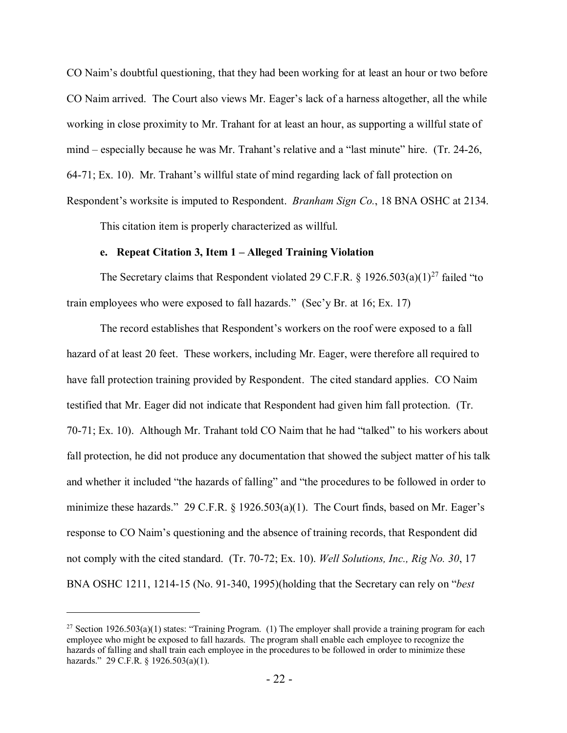CO Naim's doubtful questioning, that they had been working for at least an hour or two before CO Naim arrived. The Court also views Mr. Eager's lack of a harness altogether, all the while working in close proximity to Mr. Trahant for at least an hour, as supporting a willful state of mind – especially because he was Mr. Trahant's relative and a "last minute" hire. (Tr. 24-26, 64-71; Ex. 10). Mr. Trahant's willful state of mind regarding lack of fall protection on Respondent's worksite is imputed to Respondent. *Branham Sign Co.*, 18 BNA OSHC at 2134.

This citation item is properly characterized as willful.

#### **e. Repeat Citation 3, Item 1 – Alleged Training Violation**

The Secretary claims that Respondent violated 29 C.F.R. § 1926.503(a)(1)<sup>[27](#page-21-0)</sup> failed "to train employees who were exposed to fall hazards." (Sec'y Br. at 16; Ex. 17)

The record establishes that Respondent's workers on the roof were exposed to a fall hazard of at least 20 feet. These workers, including Mr. Eager, were therefore all required to have fall protection training provided by Respondent. The cited standard applies. CO Naim testified that Mr. Eager did not indicate that Respondent had given him fall protection. (Tr. 70-71; Ex. 10). Although Mr. Trahant told CO Naim that he had "talked" to his workers about fall protection, he did not produce any documentation that showed the subject matter of his talk and whether it included "the hazards of falling" and "the procedures to be followed in order to minimize these hazards." 29 C.F.R. § 1926.503(a)(1). The Court finds, based on Mr. Eager's response to CO Naim's questioning and the absence of training records, that Respondent did not comply with the cited standard. (Tr. 70-72; Ex. 10). *Well Solutions, Inc., Rig No. 30*, 17 BNA OSHC 1211, 1214-15 (No. 91-340, 1995)(holding that the Secretary can rely on "*best* 

<span id="page-21-0"></span><sup>&</sup>lt;sup>27</sup> Section 1926.503(a)(1) states: "Training Program. (1) The employer shall provide a training program for each employee who might be exposed to fall hazards. The program shall enable each employee to recognize the hazards of falling and shall train each employee in the procedures to be followed in order to minimize these hazards." 29 C.F.R. § 1926.503(a)(1).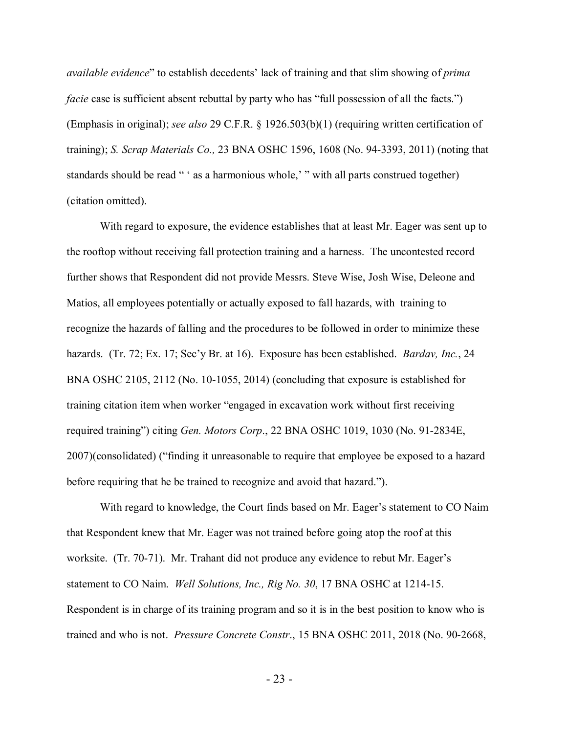*available evidence*" to establish decedents' lack of training and that slim showing of *prima facie* case is sufficient absent rebuttal by party who has "full possession of all the facts.") (Emphasis in original); *see also* 29 C.F.R. § 1926.503(b)(1) (requiring written certification of training); *S. Scrap Materials Co.,* 23 BNA OSHC 1596, 1608 (No. 94-3393, 2011) (noting that standards should be read " ' as a harmonious whole,' " with all parts construed together) (citation omitted).

With regard to exposure, the evidence establishes that at least Mr. Eager was sent up to the rooftop without receiving fall protection training and a harness. The uncontested record further shows that Respondent did not provide Messrs. Steve Wise, Josh Wise, Deleone and Matios, all employees potentially or actually exposed to fall hazards, with training to recognize the hazards of falling and the procedures to be followed in order to minimize these hazards. (Tr. 72; Ex. 17; Sec'y Br. at 16). Exposure has been established. *Bardav, Inc.*, 24 BNA OSHC 2105, 2112 (No. 10-1055, 2014) (concluding that exposure is established for training citation item when worker "engaged in excavation work without first receiving required training") citing *Gen. Motors Corp*., 22 BNA OSHC 1019, 1030 (No. 91-2834E, 2007)(consolidated) ("finding it unreasonable to require that employee be exposed to a hazard before requiring that he be trained to recognize and avoid that hazard.").

With regard to knowledge, the Court finds based on Mr. Eager's statement to CO Naim that Respondent knew that Mr. Eager was not trained before going atop the roof at this worksite. (Tr. 70-71). Mr. Trahant did not produce any evidence to rebut Mr. Eager's statement to CO Naim. *Well Solutions, Inc., Rig No. 30*, 17 BNA OSHC at 1214-15. Respondent is in charge of its training program and so it is in the best position to know who is trained and who is not. *Pressure Concrete Constr*., 15 BNA OSHC 2011, 2018 (No. 90-2668,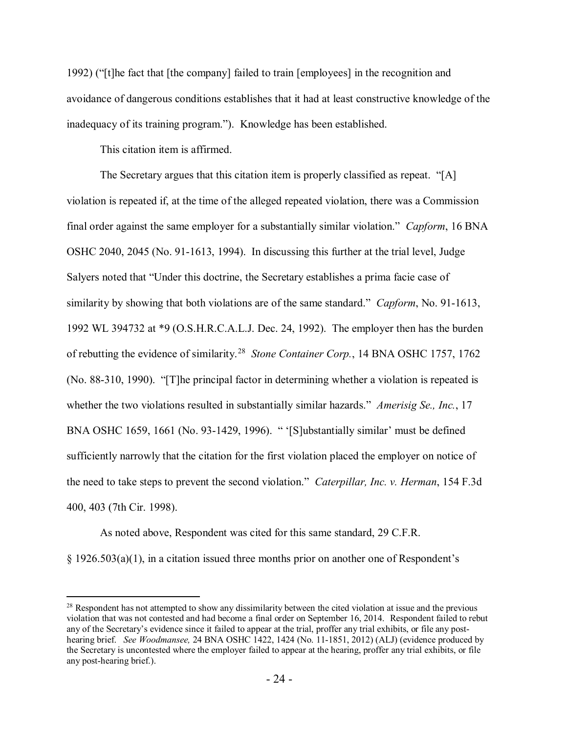1992) ("[t]he fact that [the company] failed to train [employees] in the recognition and avoidance of dangerous conditions establishes that it had at least constructive knowledge of the inadequacy of its training program."). Knowledge has been established.

This citation item is affirmed.

 $\overline{a}$ 

The Secretary argues that this citation item is properly classified as repeat. "[A] violation is repeated if, at the time of the alleged repeated violation, there was a Commission final order against the same employer for a substantially similar violation." *Capform*, 16 BNA OSHC 2040, 2045 (No. 91-1613, 1994). In discussing this further at the trial level, Judge Salyers noted that "Under this doctrine, the Secretary establishes a prima facie case of similarity by showing that both violations are of the same standard." *Capform*, No. 91-1613, 1992 WL 394732 at \*9 (O.S.H.R.C.A.L.J. Dec. 24, 1992). The employer then has the burden of rebutting the evidence of similarity.[28](#page-23-0) *Stone Container Corp.*, 14 BNA OSHC 1757, 1762 (No. 88-310, 1990). "[T]he principal factor in determining whether a violation is repeated is whether the two violations resulted in substantially similar hazards." *Amerisig Se., Inc.*, 17 BNA OSHC 1659, 1661 (No. 93-1429, 1996). " '[S]ubstantially similar' must be defined sufficiently narrowly that the citation for the first violation placed the employer on notice of the need to take steps to prevent the second violation." *Caterpillar, Inc. v. Herman*, 154 F.3d 400, 403 (7th Cir. 1998).

As noted above, Respondent was cited for this same standard, 29 C.F.R.

§ 1926.503(a)(1), in a citation issued three months prior on another one of Respondent's

<span id="page-23-0"></span><sup>&</sup>lt;sup>28</sup> Respondent has not attempted to show any dissimilarity between the cited violation at issue and the previous violation that was not contested and had become a final order on September 16, 2014. Respondent failed to rebut any of the Secretary's evidence since it failed to appear at the trial, proffer any trial exhibits, or file any posthearing brief. *See Woodmansee,* 24 BNA OSHC 1422, 1424 (No. 11-1851, 2012) (ALJ) (evidence produced by the Secretary is uncontested where the employer failed to appear at the hearing, proffer any trial exhibits, or file any post-hearing brief.).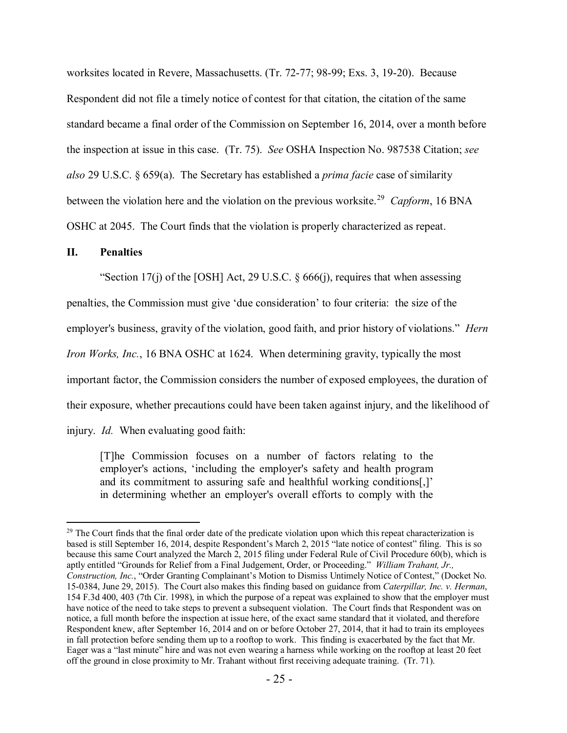worksites located in Revere, Massachusetts. (Tr. 72-77; 98-99; Exs. 3, 19-20). Because Respondent did not file a timely notice of contest for that citation, the citation of the same standard became a final order of the Commission on September 16, 2014, over a month before the inspection at issue in this case. (Tr. 75). *See* OSHA Inspection No. 987538 Citation; *see also* 29 U.S.C. § 659(a). The Secretary has established a *prima facie* case of similarity between the violation here and the violation on the previous worksite.<sup>[29](#page-24-0)</sup> *Capform*, 16 BNA OSHC at 2045. The Court finds that the violation is properly characterized as repeat.

#### **II. Penalties**

"Section 17(j) of the [OSH] Act, 29 U.S.C.  $\S$  666(j), requires that when assessing

penalties, the Commission must give 'due consideration' to four criteria: the size of the

employer's business, gravity of the violation, good faith, and prior history of violations." *Hern* 

*Iron Works, Inc.*, 16 BNA OSHC at 1624. When determining gravity, typically the most

important factor, the Commission considers the number of exposed employees, the duration of

their exposure, whether precautions could have been taken against injury, and the likelihood of

injury. *Id.* When evaluating good faith:

[T]he Commission focuses on a number of factors relating to the employer's actions, 'including the employer's safety and health program and its commitment to assuring safe and healthful working conditions[,]' in determining whether an employer's overall efforts to comply with the

<span id="page-24-0"></span> $\overline{a}$  $^{29}$  The Court finds that the final order date of the predicate violation upon which this repeat characterization is based is still September 16, 2014, despite Respondent's March 2, 2015 "late notice of contest" filing. This is so because this same Court analyzed the March 2, 2015 filing under Federal Rule of Civil Procedure 60(b), which is aptly entitled "Grounds for Relief from a Final Judgement, Order, or Proceeding." *William Trahant, Jr., Construction, Inc.*, "Order Granting Complainant's Motion to Dismiss Untimely Notice of Contest," (Docket No. 15-0384, June 29, 2015). The Court also makes this finding based on guidance from *Caterpillar, Inc. v. Herman*, 154 F.3d 400, 403 (7th Cir. 1998), in which the purpose of a repeat was explained to show that the employer must have notice of the need to take steps to prevent a subsequent violation. The Court finds that Respondent was on notice, a full month before the inspection at issue here, of the exact same standard that it violated, and therefore Respondent knew, after September 16, 2014 and on or before October 27, 2014, that it had to train its employees in fall protection before sending them up to a rooftop to work. This finding is exacerbated by the fact that Mr. Eager was a "last minute" hire and was not even wearing a harness while working on the rooftop at least 20 feet off the ground in close proximity to Mr. Trahant without first receiving adequate training. (Tr. 71).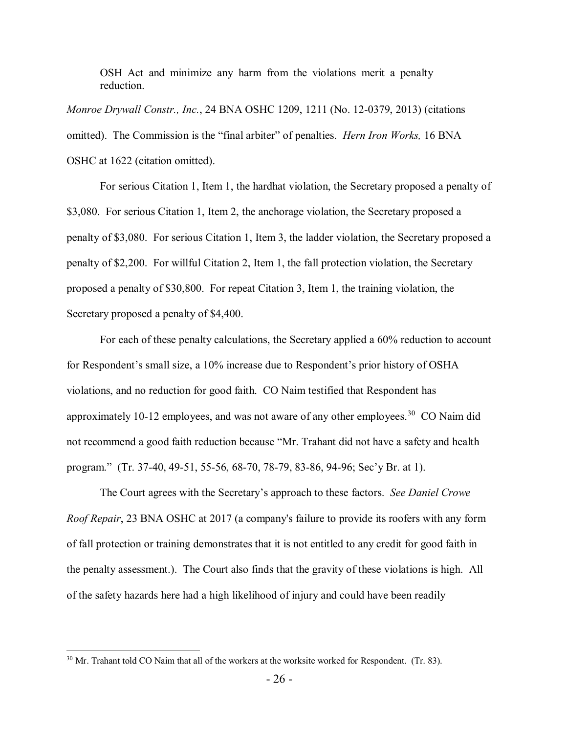OSH Act and minimize any harm from the violations merit a penalty reduction.

*Monroe Drywall Constr., Inc.*, 24 BNA OSHC 1209, 1211 (No. 12-0379, 2013) (citations omitted). The Commission is the "final arbiter" of penalties. *Hern Iron Works,* 16 BNA OSHC at 1622 (citation omitted).

For serious Citation 1, Item 1, the hardhat violation, the Secretary proposed a penalty of \$3,080. For serious Citation 1, Item 2, the anchorage violation, the Secretary proposed a penalty of \$3,080. For serious Citation 1, Item 3, the ladder violation, the Secretary proposed a penalty of \$2,200. For willful Citation 2, Item 1, the fall protection violation, the Secretary proposed a penalty of \$30,800. For repeat Citation 3, Item 1, the training violation, the Secretary proposed a penalty of \$4,400.

For each of these penalty calculations, the Secretary applied a 60% reduction to account for Respondent's small size, a 10% increase due to Respondent's prior history of OSHA violations, and no reduction for good faith. CO Naim testified that Respondent has approximately 10-12 employees, and was not aware of any other employees.<sup>30</sup> CO Naim did not recommend a good faith reduction because "Mr. Trahant did not have a safety and health program." (Tr. 37-40, 49-51, 55-56, 68-70, 78-79, 83-86, 94-96; Sec'y Br. at 1).

The Court agrees with the Secretary's approach to these factors. *See Daniel Crowe Roof Repair*, 23 BNA OSHC at 2017 (a company's failure to provide its roofers with any form of fall protection or training demonstrates that it is not entitled to any credit for good faith in the penalty assessment.). The Court also finds that the gravity of these violations is high. All of the safety hazards here had a high likelihood of injury and could have been readily

<span id="page-25-0"></span> $30$  Mr. Trahant told CO Naim that all of the workers at the worksite worked for Respondent. (Tr. 83).